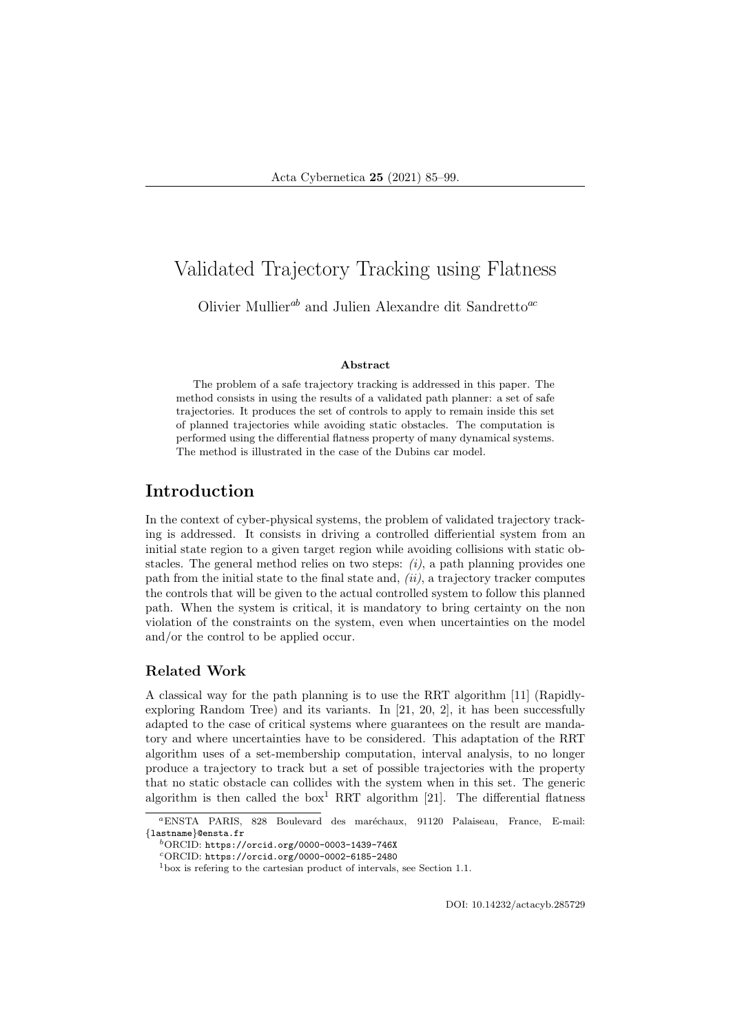# Validated Trajectory Tracking using Flatness

Olivier Mullier<sup>ab</sup> and Julien Alexandre dit Sandretto<sup>ac</sup>

#### Abstract

The problem of a safe trajectory tracking is addressed in this paper. The method consists in using the results of a validated path planner: a set of safe trajectories. It produces the set of controls to apply to remain inside this set of planned trajectories while avoiding static obstacles. The computation is performed using the differential flatness property of many dynamical systems. The method is illustrated in the case of the Dubins car model.

### Introduction

In the context of cyber-physical systems, the problem of validated trajectory tracking is addressed. It consists in driving a controlled differiential system from an initial state region to a given target region while avoiding collisions with static obstacles. The general method relies on two steps:  $(i)$ , a path planning provides one path from the initial state to the final state and,  $(ii)$ , a trajectory tracker computes the controls that will be given to the actual controlled system to follow this planned path. When the system is critical, it is mandatory to bring certainty on the non violation of the constraints on the system, even when uncertainties on the model and/or the control to be applied occur.

#### Related Work

A classical way for the path planning is to use the RRT algorithm [11] (Rapidlyexploring Random Tree) and its variants. In [21, 20, 2], it has been successfully adapted to the case of critical systems where guarantees on the result are mandatory and where uncertainties have to be considered. This adaptation of the RRT algorithm uses of a set-membership computation, interval analysis, to no longer produce a trajectory to track but a set of possible trajectories with the property that no static obstacle can collides with the system when in this set. The generic algorithm is then called the  $box<sup>1</sup> RRT$  algorithm [21]. The differential flatness

DOI: 10.14232/actacyb.285729

<sup>&</sup>lt;sup>a</sup>ENSTA PARIS, 828 Boulevard des maréchaux, 91120 Palaiseau, France, E-mail: {lastname}@ensta.fr

 $b$ ORCID: https://orcid.org/0000-0003-1439-746X

<sup>c</sup>ORCID: https://orcid.org/0000-0002-6185-2480

<sup>1</sup>box is refering to the cartesian product of intervals, see Section 1.1.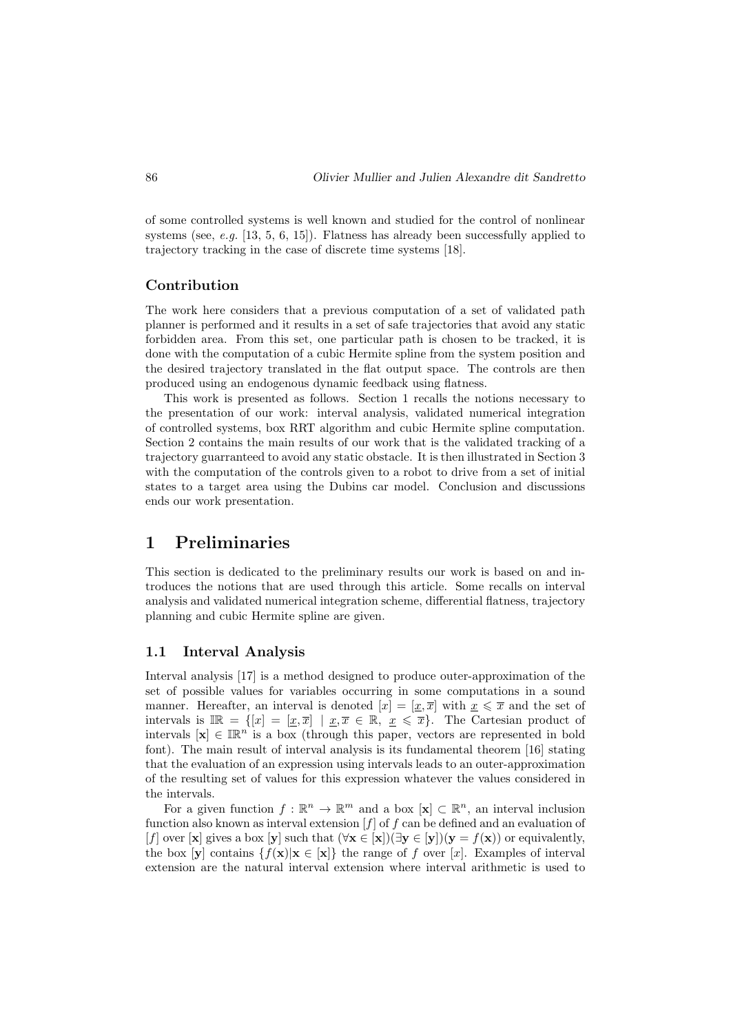of some controlled systems is well known and studied for the control of nonlinear systems (see, e.g. [13, 5, 6, 15]). Flatness has already been successfully applied to trajectory tracking in the case of discrete time systems [18].

#### Contribution

The work here considers that a previous computation of a set of validated path planner is performed and it results in a set of safe trajectories that avoid any static forbidden area. From this set, one particular path is chosen to be tracked, it is done with the computation of a cubic Hermite spline from the system position and the desired trajectory translated in the flat output space. The controls are then produced using an endogenous dynamic feedback using flatness.

This work is presented as follows. Section 1 recalls the notions necessary to the presentation of our work: interval analysis, validated numerical integration of controlled systems, box RRT algorithm and cubic Hermite spline computation. Section 2 contains the main results of our work that is the validated tracking of a trajectory guarranteed to avoid any static obstacle. It is then illustrated in Section 3 with the computation of the controls given to a robot to drive from a set of initial states to a target area using the Dubins car model. Conclusion and discussions ends our work presentation.

### 1 Preliminaries

This section is dedicated to the preliminary results our work is based on and introduces the notions that are used through this article. Some recalls on interval analysis and validated numerical integration scheme, differential flatness, trajectory planning and cubic Hermite spline are given.

#### 1.1 Interval Analysis

Interval analysis [17] is a method designed to produce outer-approximation of the set of possible values for variables occurring in some computations in a sound manner. Hereafter, an interval is denoted  $[x] = [x, \overline{x}]$  with  $x \leq \overline{x}$  and the set of intervals is  $\mathbb{IR} = \{ [x] = [\underline{x}, \overline{x}] \mid \underline{x}, \overline{x} \in \mathbb{R}, \underline{x} \leq \overline{x} \}.$  The Cartesian product of intervals  $[\mathbf{x}] \in \mathbb{R}^n$  is a box (through this paper, vectors are represented in bold font). The main result of interval analysis is its fundamental theorem [16] stating that the evaluation of an expression using intervals leads to an outer-approximation of the resulting set of values for this expression whatever the values considered in the intervals.

For a given function  $f : \mathbb{R}^n \to \mathbb{R}^m$  and a box  $[\mathbf{x}] \subset \mathbb{R}^n$ , an interval inclusion function also known as interval extension  $[f]$  of f can be defined and an evaluation of [f] over [x] gives a box [y] such that  $(\forall x \in [x])(\exists y \in [y])(y = f(x))$  or equivalently, the box [y] contains  $\{f(\mathbf{x})|\mathbf{x} \in [\mathbf{x}]\}$  the range of f over [x]. Examples of interval extension are the natural interval extension where interval arithmetic is used to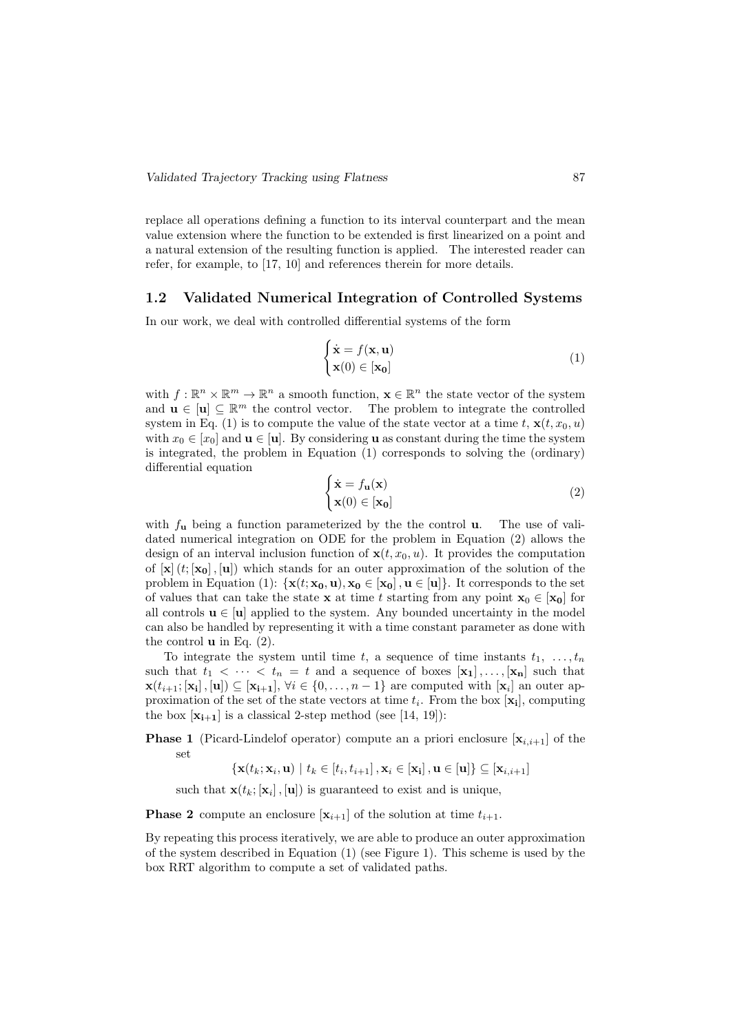replace all operations defining a function to its interval counterpart and the mean value extension where the function to be extended is first linearized on a point and a natural extension of the resulting function is applied. The interested reader can refer, for example, to [17, 10] and references therein for more details.

#### 1.2 Validated Numerical Integration of Controlled Systems

In our work, we deal with controlled differential systems of the form

$$
\begin{cases} \dot{\mathbf{x}} = f(\mathbf{x}, \mathbf{u}) \\ \mathbf{x}(0) \in [\mathbf{x_0}] \end{cases}
$$
 (1)

with  $f: \mathbb{R}^n \times \mathbb{R}^m \to \mathbb{R}^n$  a smooth function,  $\mathbf{x} \in \mathbb{R}^n$  the state vector of the system and  $\mathbf{u} \in [\mathbf{u}] \subseteq \mathbb{R}^m$  the control vector. The problem to integrate the controlled system in Eq. (1) is to compute the value of the state vector at a time t,  $\mathbf{x}(t, x_0, u)$ with  $x_0 \in [x_0]$  and  $\mathbf{u} \in [\mathbf{u}]$ . By considering **u** as constant during the time the system is integrated, the problem in Equation (1) corresponds to solving the (ordinary) differential equation

$$
\begin{cases} \dot{\mathbf{x}} = f_{\mathbf{u}}(\mathbf{x}) \\ \mathbf{x}(0) \in [\mathbf{x}_0] \end{cases}
$$
 (2)

with  $f_{\mathbf{u}}$  being a function parameterized by the the control  $\mathbf{u}$ . The use of validated numerical integration on ODE for the problem in Equation (2) allows the design of an interval inclusion function of  $\mathbf{x}(t, x_0, u)$ . It provides the computation of  $[\mathbf{x}](t; [\mathbf{x_0}], [\mathbf{u}])$  which stands for an outer approximation of the solution of the problem in Equation (1):  $\{x(t; x_0, u), x_0 \in [x_0], u \in [u]\}\$ . It corresponds to the set of values that can take the state **x** at time t starting from any point  $\mathbf{x}_0 \in [\mathbf{x}_0]$  for all controls  $\mathbf{u} \in [\mathbf{u}]$  applied to the system. Any bounded uncertainty in the model can also be handled by representing it with a time constant parameter as done with the control  $\bf{u}$  in Eq. (2).

To integrate the system until time t, a sequence of time instants  $t_1, \ldots, t_n$ such that  $t_1 < \cdots < t_n = t$  and a sequence of boxes  $[\mathbf{x}_1], \ldots, [\mathbf{x}_n]$  such that  $\mathbf{x}(t_{i+1}; [\mathbf{x}_i], [\mathbf{u}]) \subseteq [\mathbf{x}_{i+1}], \forall i \in \{0, \ldots, n-1\}$  are computed with  $[\mathbf{x}_i]$  an outer approximation of the set of the state vectors at time  $t_i$ . From the box  $[\mathbf{x}_i]$ , computing the box  $[\mathbf{x}_{i+1}]$  is a classical 2-step method (see [14, 19]):

**Phase 1** (Picard-Lindelof operator) compute an a priori enclosure  $[\mathbf{x}_{i,i+1}]$  of the set

 $\left\{\mathbf{x}(t_k;\mathbf{x}_i,\mathbf{u}) \mid t_k \in [t_i,t_{i+1}], \mathbf{x}_i \in [\mathbf{x_i}], \mathbf{u} \in [\mathbf{u}]\right\} \subseteq [\mathbf{x}_{i,i+1}]$ 

such that  $\mathbf{x}(t_k; [\mathbf{x}_i], [\mathbf{u}])$  is guaranteed to exist and is unique,

**Phase 2** compute an enclosure  $[\mathbf{x}_{i+1}]$  of the solution at time  $t_{i+1}$ .

By repeating this process iteratively, we are able to produce an outer approximation of the system described in Equation  $(1)$  (see Figure 1). This scheme is used by the box RRT algorithm to compute a set of validated paths.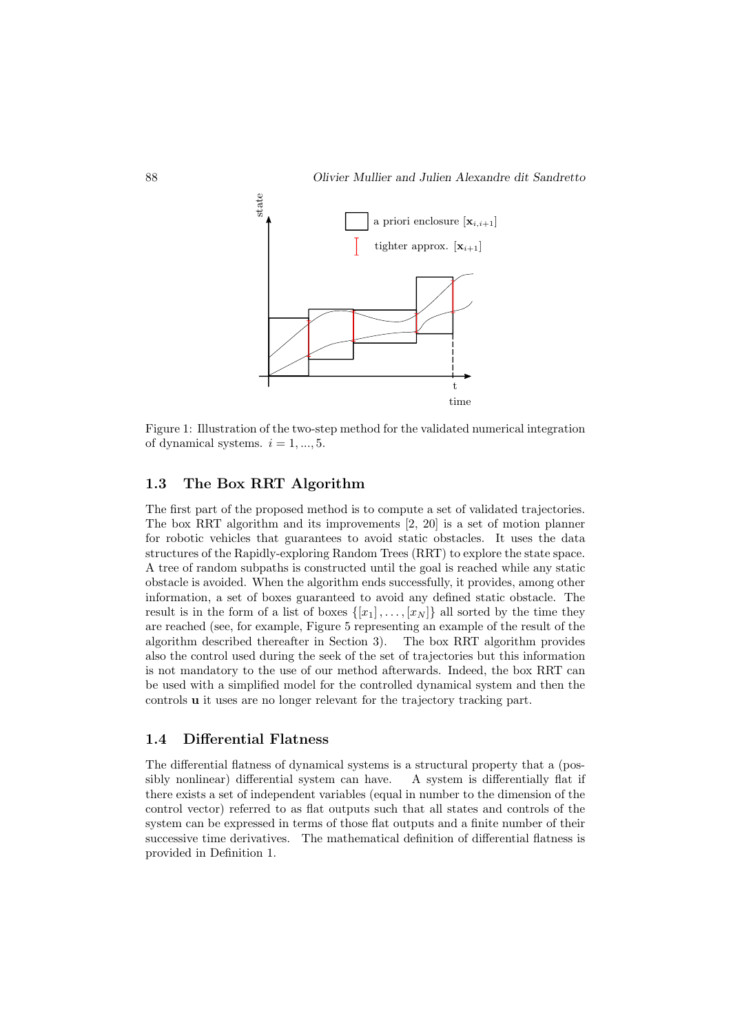

Figure 1: Illustration of the two-step method for the validated numerical integration of dynamical systems.  $i = 1, ..., 5$ .

#### 1.3 The Box RRT Algorithm

The first part of the proposed method is to compute a set of validated trajectories. The box RRT algorithm and its improvements [2, 20] is a set of motion planner for robotic vehicles that guarantees to avoid static obstacles. It uses the data structures of the Rapidly-exploring Random Trees (RRT) to explore the state space. A tree of random subpaths is constructed until the goal is reached while any static obstacle is avoided. When the algorithm ends successfully, it provides, among other information, a set of boxes guaranteed to avoid any defined static obstacle. The result is in the form of a list of boxes  $\{[x_1], \ldots, [x_N]\}$  all sorted by the time they are reached (see, for example, Figure 5 representing an example of the result of the algorithm described thereafter in Section 3). The box RRT algorithm provides also the control used during the seek of the set of trajectories but this information is not mandatory to the use of our method afterwards. Indeed, the box RRT can be used with a simplified model for the controlled dynamical system and then the controls u it uses are no longer relevant for the trajectory tracking part.

#### 1.4 Differential Flatness

The differential flatness of dynamical systems is a structural property that a (possibly nonlinear) differential system can have. A system is differentially flat if there exists a set of independent variables (equal in number to the dimension of the control vector) referred to as flat outputs such that all states and controls of the system can be expressed in terms of those flat outputs and a finite number of their successive time derivatives. The mathematical definition of differential flatness is provided in Definition 1.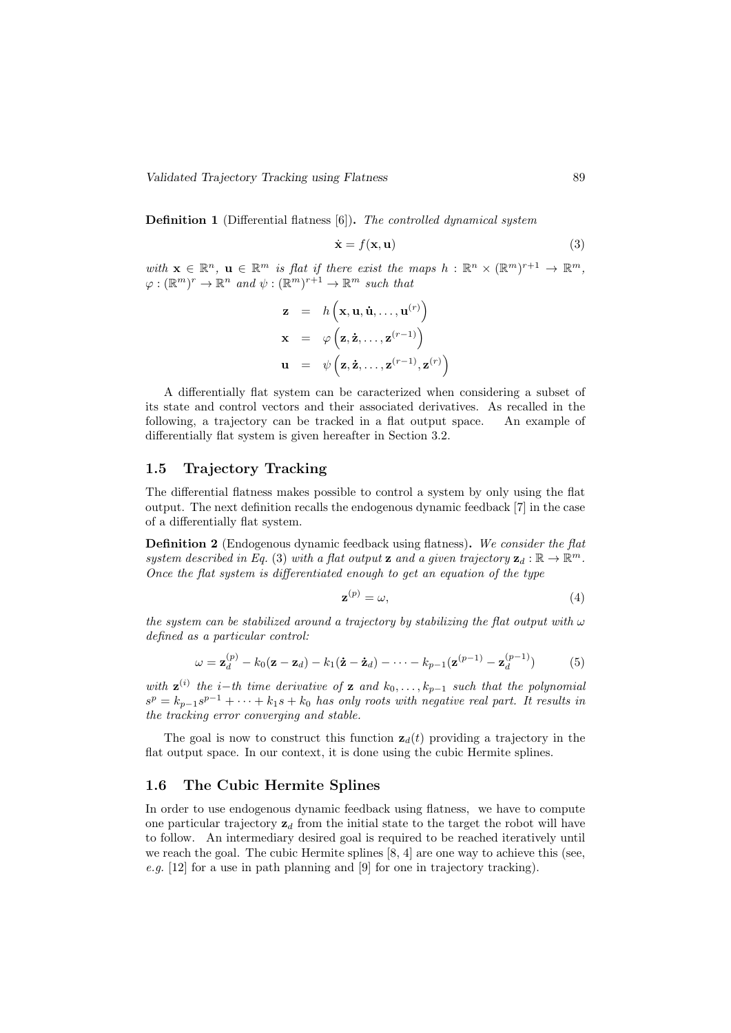Validated Trajectory Tracking using Flatness 89

Definition 1 (Differential flatness [6]). The controlled dynamical system

$$
\dot{\mathbf{x}} = f(\mathbf{x}, \mathbf{u}) \tag{3}
$$

with  $\mathbf{x} \in \mathbb{R}^n$ ,  $\mathbf{u} \in \mathbb{R}^m$  is flat if there exist the maps  $h : \mathbb{R}^n \times (\mathbb{R}^m)^{r+1} \to \mathbb{R}^m$ ,  $\varphi : (\mathbb{R}^m)^r \to \mathbb{R}^n$  and  $\psi : (\mathbb{R}^m)^{r+1} \to \mathbb{R}^m$  such that

$$
\mathbf{z} = h\left(\mathbf{x}, \mathbf{u}, \dot{\mathbf{u}}, \dots, \mathbf{u}^{(r)}\right) \n\mathbf{x} = \varphi\left(\mathbf{z}, \dot{\mathbf{z}}, \dots, \mathbf{z}^{(r-1)}\right) \n\mathbf{u} = \psi\left(\mathbf{z}, \dot{\mathbf{z}}, \dots, \mathbf{z}^{(r-1)}, \mathbf{z}^{(r)}\right)
$$

A differentially flat system can be caracterized when considering a subset of its state and control vectors and their associated derivatives. As recalled in the following, a trajectory can be tracked in a flat output space. An example of differentially flat system is given hereafter in Section 3.2.

#### 1.5 Trajectory Tracking

The differential flatness makes possible to control a system by only using the flat output. The next definition recalls the endogenous dynamic feedback [7] in the case of a differentially flat system.

Definition 2 (Endogenous dynamic feedback using flatness). We consider the flat system described in Eq. (3) with a flat output **z** and a given trajectory  $z_d : \mathbb{R} \to \mathbb{R}^m$ . Once the flat system is differentiated enough to get an equation of the type

$$
\mathbf{z}^{(p)} = \omega,\tag{4}
$$

the system can be stabilized around a trajectory by stabilizing the flat output with  $\omega$ defined as a particular control:

$$
\omega = \mathbf{z}_d^{(p)} - k_0(\mathbf{z} - \mathbf{z}_d) - k_1(\dot{\mathbf{z}} - \dot{\mathbf{z}}_d) - \dots - k_{p-1}(\mathbf{z}^{(p-1)} - \mathbf{z}_d^{(p-1)})
$$
(5)

with  $\mathbf{z}^{(i)}$  the i–th time derivative of  $\mathbf{z}$  and  $k_0, \ldots, k_{p-1}$  such that the polynomial  $s^p = k_{p-1}s^{p-1} + \cdots + k_1s + k_0$  has only roots with negative real part. It results in the tracking error converging and stable.

The goal is now to construct this function  $z_d(t)$  providing a trajectory in the flat output space. In our context, it is done using the cubic Hermite splines.

#### 1.6 The Cubic Hermite Splines

In order to use endogenous dynamic feedback using flatness, we have to compute one particular trajectory  $z_d$  from the initial state to the target the robot will have to follow. An intermediary desired goal is required to be reached iteratively until we reach the goal. The cubic Hermite splines [8, 4] are one way to achieve this (see, e.g. [12] for a use in path planning and [9] for one in trajectory tracking).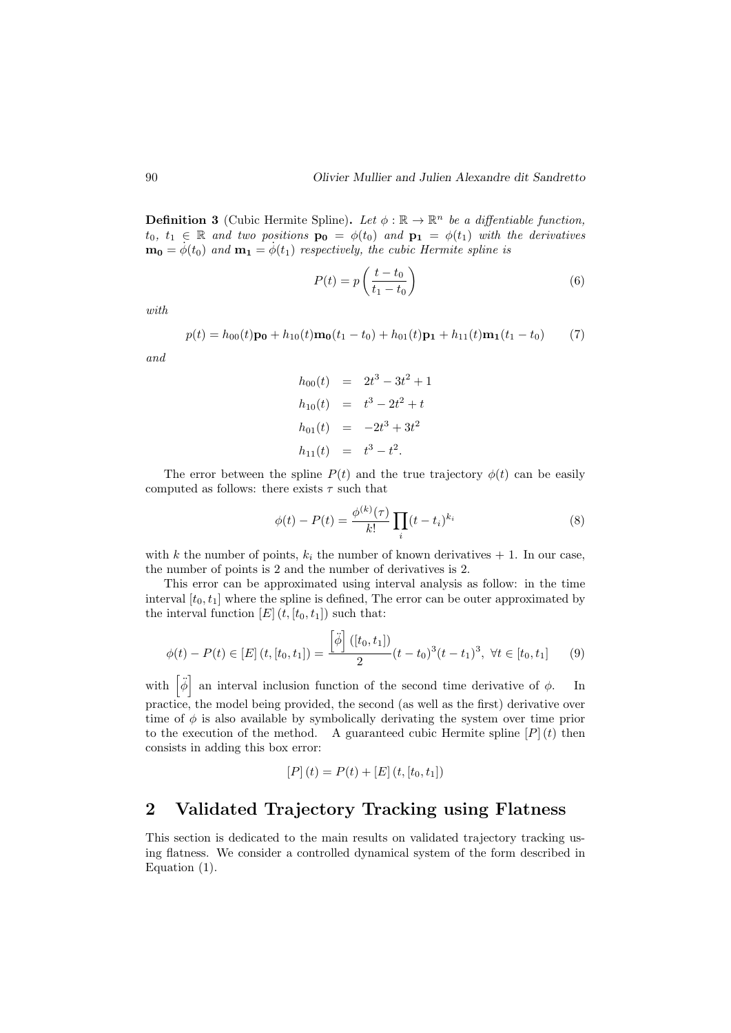**Definition 3** (Cubic Hermite Spline). Let  $\phi : \mathbb{R} \to \mathbb{R}^n$  be a diffentiable function,  $t_0, t_1 \in \mathbb{R}$  and two positions  $\mathbf{p_0} = \phi(t_0)$  and  $\mathbf{p_1} = \phi(t_1)$  with the derivatives  $\mathbf{m_0} = \dot{\phi}(t_0)$  and  $\mathbf{m_1} = \dot{\phi}(t_1)$  respectively, the cubic Hermite spline is

$$
P(t) = p\left(\frac{t - t_0}{t_1 - t_0}\right) \tag{6}
$$

with

$$
p(t) = h_{00}(t)\mathbf{p_0} + h_{10}(t)\mathbf{m_0}(t_1 - t_0) + h_{01}(t)\mathbf{p_1} + h_{11}(t)\mathbf{m_1}(t_1 - t_0)
$$
 (7)

and

$$
h_{00}(t) = 2t^3 - 3t^2 + 1
$$
  
\n
$$
h_{10}(t) = t^3 - 2t^2 + t
$$
  
\n
$$
h_{01}(t) = -2t^3 + 3t^2
$$
  
\n
$$
h_{11}(t) = t^3 - t^2.
$$

The error between the spline  $P(t)$  and the true trajectory  $\phi(t)$  can be easily computed as follows: there exists  $\tau$  such that

$$
\phi(t) - P(t) = \frac{\phi^{(k)}(\tau)}{k!} \prod_{i} (t - t_i)^{k_i}
$$
\n(8)

with k the number of points,  $k_i$  the number of known derivatives  $+1$ . In our case, the number of points is 2 and the number of derivatives is 2.

This error can be approximated using interval analysis as follow: in the time interval  $[t_0, t_1]$  where the spline is defined, The error can be outer approximated by the interval function  $[E](t, [t_0, t_1])$  such that:

$$
\phi(t) - P(t) \in [E] \left( t, [t_0, t_1] \right) = \frac{\left[ \ddot{\phi} \right] \left( [t_0, t_1] \right)}{2} (t - t_0)^3 (t - t_1)^3, \ \forall t \in [t_0, t_1] \tag{9}
$$

with  $\left[\ddot{\phi}\right]$  an interval inclusion function of the second time derivative of  $\phi$ . In practice, the model being provided, the second (as well as the first) derivative over time of  $\phi$  is also available by symbolically derivating the system over time prior to the execution of the method. A guaranteed cubic Hermite spline  $[P](t)$  then consists in adding this box error:

$$
[P](t) = P(t) + [E](t, [t_0, t_1])
$$

### 2 Validated Trajectory Tracking using Flatness

This section is dedicated to the main results on validated trajectory tracking using flatness. We consider a controlled dynamical system of the form described in Equation (1).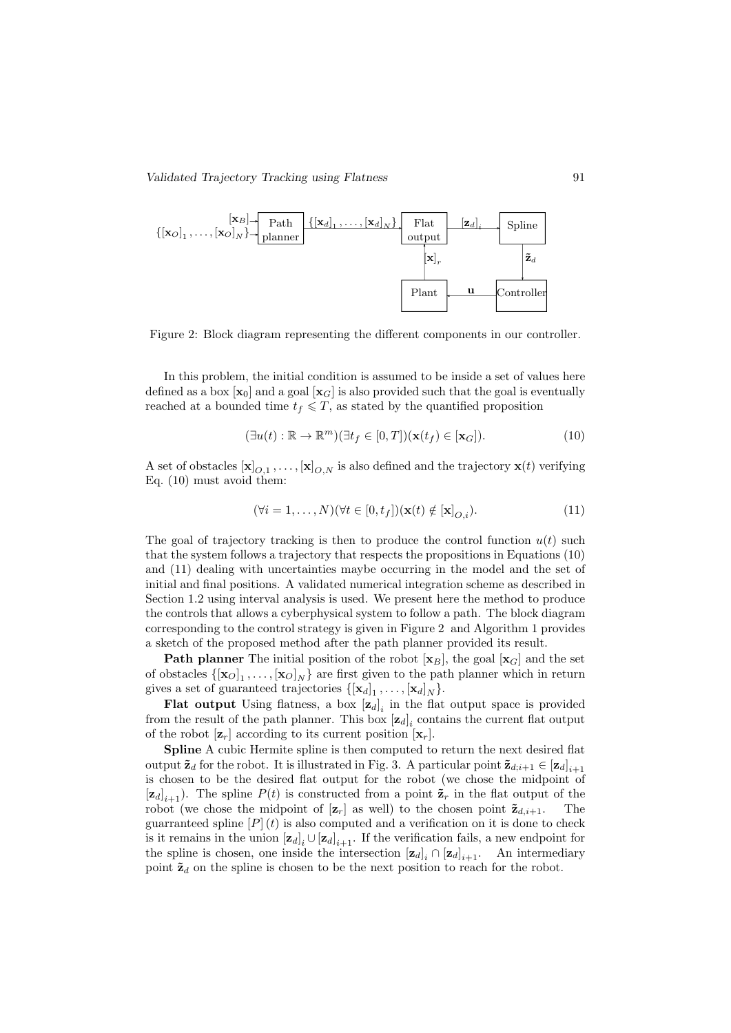

Figure 2: Block diagram representing the different components in our controller.

In this problem, the initial condition is assumed to be inside a set of values here defined as a box  $[\mathbf{x}_0]$  and a goal  $[\mathbf{x}_G]$  is also provided such that the goal is eventually reached at a bounded time  $t_f \leq T$ , as stated by the quantified proposition

$$
(\exists u(t) : \mathbb{R} \to \mathbb{R}^m)(\exists t_f \in [0, T])(\mathbf{x}(t_f) \in [\mathbf{x}_G]).
$$
\n(10)

A set of obstacles  $[\mathbf{x}]_{O,1}, \ldots, [\mathbf{x}]_{O,N}$  is also defined and the trajectory  $\mathbf{x}(t)$  verifying Eq. (10) must avoid them:

$$
(\forall i = 1, \dots, N)(\forall t \in [0, t_f])(\mathbf{x}(t) \notin [\mathbf{x}]_{O,i}).
$$
\n(11)

The goal of trajectory tracking is then to produce the control function  $u(t)$  such that the system follows a trajectory that respects the propositions in Equations (10) and (11) dealing with uncertainties maybe occurring in the model and the set of initial and final positions. A validated numerical integration scheme as described in Section 1.2 using interval analysis is used. We present here the method to produce the controls that allows a cyberphysical system to follow a path. The block diagram corresponding to the control strategy is given in Figure 2 and Algorithm 1 provides a sketch of the proposed method after the path planner provided its result.

**Path planner** The initial position of the robot  $[\mathbf{x}_B]$ , the goal  $[\mathbf{x}_G]$  and the set of obstacles  $\{[\mathbf{x}_O]_1, \ldots, [\mathbf{x}_O]_N\}$  are first given to the path planner which in return gives a set of guaranteed trajectories  $\{[\mathbf{x}_d]_1, \ldots, [\mathbf{x}_d]_N\}$ .

**Flat output** Using flatness, a box  $[\mathbf{z}_d]_i$  in the flat output space is provided from the result of the path planner. This box  $[\mathbf{z}_d]_i$  contains the current flat output of the robot  $[\mathbf{z}_r]$  according to its current position  $[\mathbf{x}_r]$ .

Spline A cubic Hermite spline is then computed to return the next desired flat output  $\tilde{\mathbf{z}}_d$  for the robot. It is illustrated in Fig. 3. A particular point  $\tilde{\mathbf{z}}_{d,i+1} \in [\mathbf{z}_d]_{i+1}$ is chosen to be the desired flat output for the robot (we chose the midpoint of  $[\mathbf{z}_d]_{i+1}$ ). The spline  $P(t)$  is constructed from a point  $\tilde{\mathbf{z}}_r$  in the flat output of the robot (we chose the midpoint of  $[\mathbf{z}_r]$  as well) to the chosen point  $\tilde{\mathbf{z}}_{d,i+1}$ . The guarranteed spline  $[P](t)$  is also computed and a verification on it is done to check is it remains in the union  $[\mathbf{z}_d]_i \cup [\mathbf{z}_d]_{i+1}$ . If the verification fails, a new endpoint for the spline is chosen, one inside the intersection  $[\mathbf{z}_d]_i \cap [\mathbf{z}_d]_{i+1}$ . An intermediary point  $\tilde{\mathbf{z}}_d$  on the spline is chosen to be the next position to reach for the robot.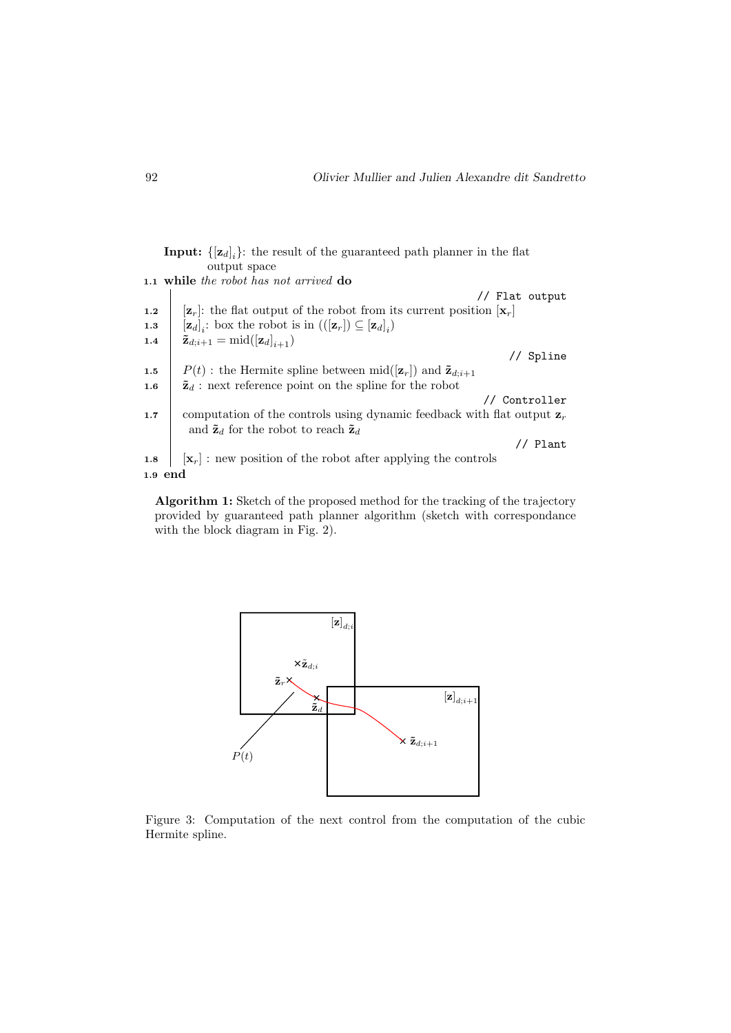**Input:**  $\{[\mathbf{z}_d]_i\}$ : the result of the guaranteed path planner in the flat output space 1.1 while the robot has not arrived do // Flat output 1.2  $\begin{bmatrix} \mathbf{z}_r \end{bmatrix}$ : the flat output of the robot from its current position  $\mathbf{x}_r$ **1.3**  $[\mathbf{z}_d]_i$ : box the robot is in  $(([\mathbf{z}_r]) \subseteq [\mathbf{z}_d]_i)$ 1.4  $\sum_{d,i+1}$  = mid $({[\mathbf{z}_d]}_{i+1})$ // Spline 1.5  $P(t)$ : the Hermite spline between mid $([\mathbf{z}_r])$  and  $\tilde{\mathbf{z}}_{d,i+1}$ 1.6  $\bar{z}_d$ : next reference point on the spline for the robot // Controller 1.7 computation of the controls using dynamic feedback with flat output  $\mathbf{z}_r$ and  $\tilde{\mathbf{z}}_d$  for the robot to reach  $\tilde{\mathbf{z}}_d$ // Plant 1.8  $\begin{bmatrix} \mathbf{x}_r \end{bmatrix}$ : new position of the robot after applying the controls 1.9 end

Algorithm 1: Sketch of the proposed method for the tracking of the trajectory provided by guaranteed path planner algorithm (sketch with correspondance with the block diagram in Fig. 2).



Figure 3: Computation of the next control from the computation of the cubic Hermite spline.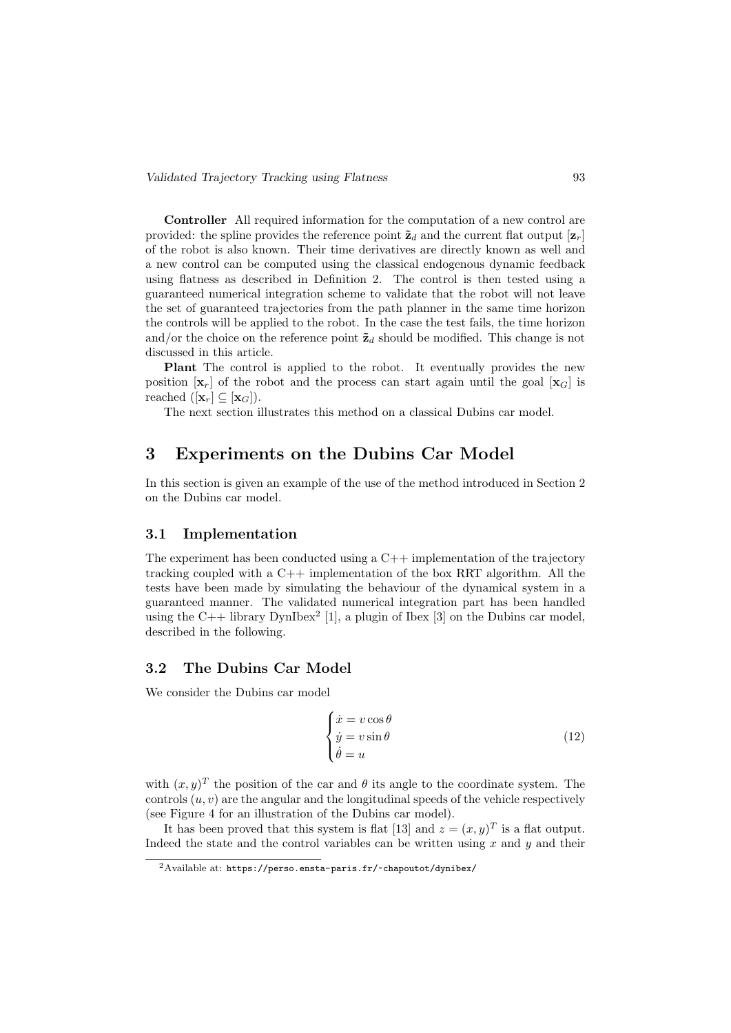Controller All required information for the computation of a new control are provided: the spline provides the reference point  $\tilde{\mathbf{z}}_d$  and the current flat output  $[\mathbf{z}_r]$ of the robot is also known. Their time derivatives are directly known as well and a new control can be computed using the classical endogenous dynamic feedback using flatness as described in Definition 2. The control is then tested using a guaranteed numerical integration scheme to validate that the robot will not leave the set of guaranteed trajectories from the path planner in the same time horizon the controls will be applied to the robot. In the case the test fails, the time horizon and/or the choice on the reference point  $\tilde{\mathbf{z}}_d$  should be modified. This change is not discussed in this article.

Plant The control is applied to the robot. It eventually provides the new position  $[\mathbf{x}_r]$  of the robot and the process can start again until the goal  $[\mathbf{x}_G]$  is reached  $([**x**<sub>r</sub>] \subseteq [**x**<sub>G</sub>]).$ 

The next section illustrates this method on a classical Dubins car model.

### 3 Experiments on the Dubins Car Model

In this section is given an example of the use of the method introduced in Section 2 on the Dubins car model.

#### 3.1 Implementation

The experiment has been conducted using a  $C_{++}$  implementation of the trajectory tracking coupled with a  $C++$  implementation of the box RRT algorithm. All the tests have been made by simulating the behaviour of the dynamical system in a guaranteed manner. The validated numerical integration part has been handled using the  $C++$  library DynIbex<sup>2</sup> [1], a plugin of Ibex [3] on the Dubins car model, described in the following.

#### 3.2 The Dubins Car Model

We consider the Dubins car model

$$
\begin{cases}\n\dot{x} = v \cos \theta \\
\dot{y} = v \sin \theta \\
\dot{\theta} = u\n\end{cases}
$$
\n(12)

with  $(x, y)^T$  the position of the car and  $\theta$  its angle to the coordinate system. The controls  $(u, v)$  are the angular and the longitudinal speeds of the vehicle respectively (see Figure 4 for an illustration of the Dubins car model).

It has been proved that this system is flat [13] and  $z = (x, y)^T$  is a flat output. Indeed the state and the control variables can be written using  $x$  and  $y$  and their

<sup>&</sup>lt;sup>2</sup>Available at: https://perso.ensta-paris.fr/~chapoutot/dynibex/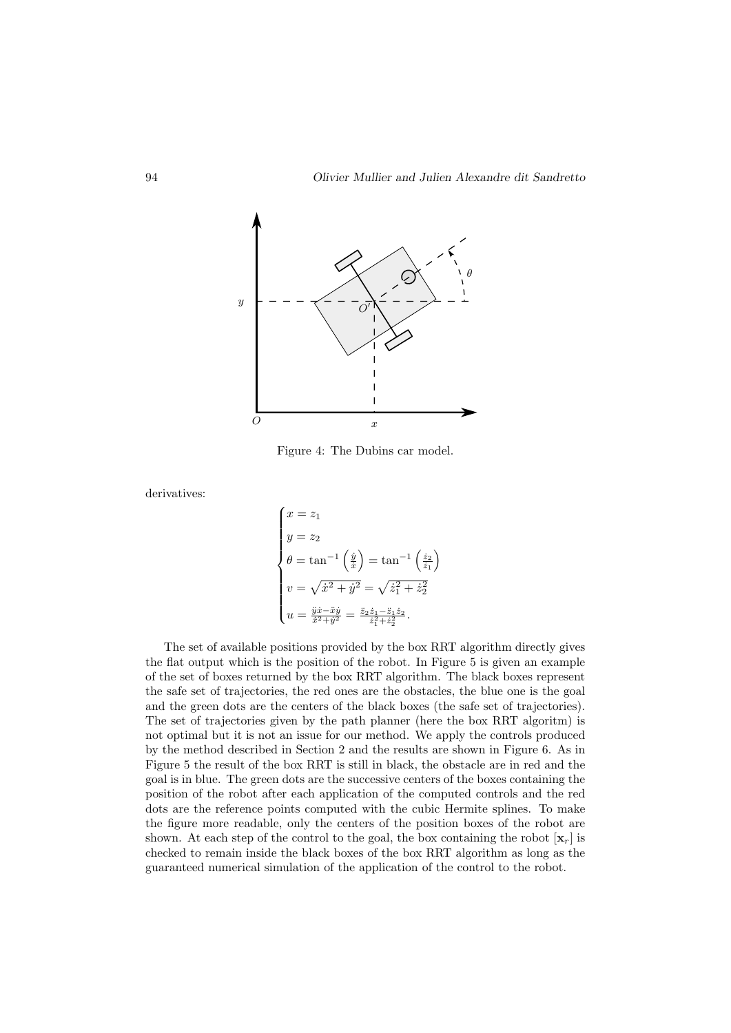

Figure 4: The Dubins car model.

derivatives:

$$
\begin{cases}\nx = z_1 \\
y = z_2 \\
\theta = \tan^{-1}\left(\frac{\dot{y}}{\dot{x}}\right) = \tan^{-1}\left(\frac{\dot{z}_2}{\dot{z}_1}\right) \\
v = \sqrt{\dot{x}^2 + \dot{y}^2} = \sqrt{\dot{z}_1^2 + \dot{z}_2^2} \\
u = \frac{\ddot{y}\dot{x} - \ddot{x}\dot{y}}{\dot{x}^2 + \dot{y}^2} = \frac{\ddot{z}_2\dot{z}_1 - \ddot{z}_1\dot{z}_2}{\dot{z}_1^2 + \dot{z}_2^2}.\n\end{cases}
$$

The set of available positions provided by the box RRT algorithm directly gives the flat output which is the position of the robot. In Figure 5 is given an example of the set of boxes returned by the box RRT algorithm. The black boxes represent the safe set of trajectories, the red ones are the obstacles, the blue one is the goal and the green dots are the centers of the black boxes (the safe set of trajectories). The set of trajectories given by the path planner (here the box RRT algoritm) is not optimal but it is not an issue for our method. We apply the controls produced by the method described in Section 2 and the results are shown in Figure 6. As in Figure 5 the result of the box RRT is still in black, the obstacle are in red and the goal is in blue. The green dots are the successive centers of the boxes containing the position of the robot after each application of the computed controls and the red dots are the reference points computed with the cubic Hermite splines. To make the figure more readable, only the centers of the position boxes of the robot are shown. At each step of the control to the goal, the box containing the robot  $[\mathbf{x}_r]$  is checked to remain inside the black boxes of the box RRT algorithm as long as the guaranteed numerical simulation of the application of the control to the robot.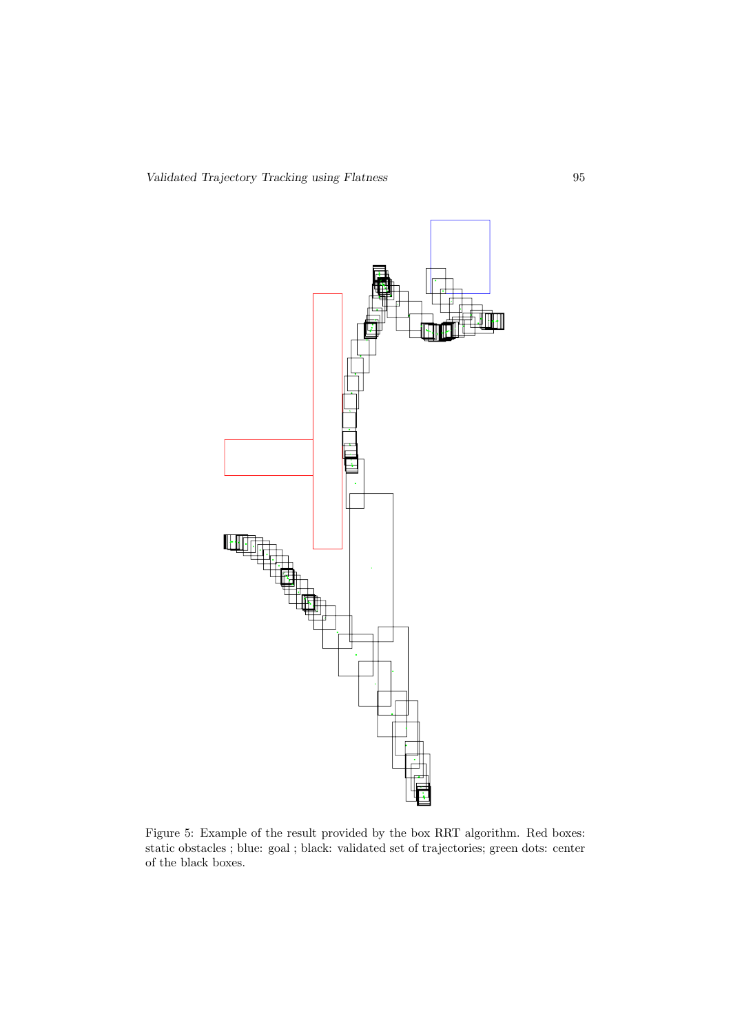

Figure 5: Example of the result provided by the box RRT algorithm. Red boxes: static obstacles ; blue: goal ; black: validated set of trajectories; green dots: center of the black boxes.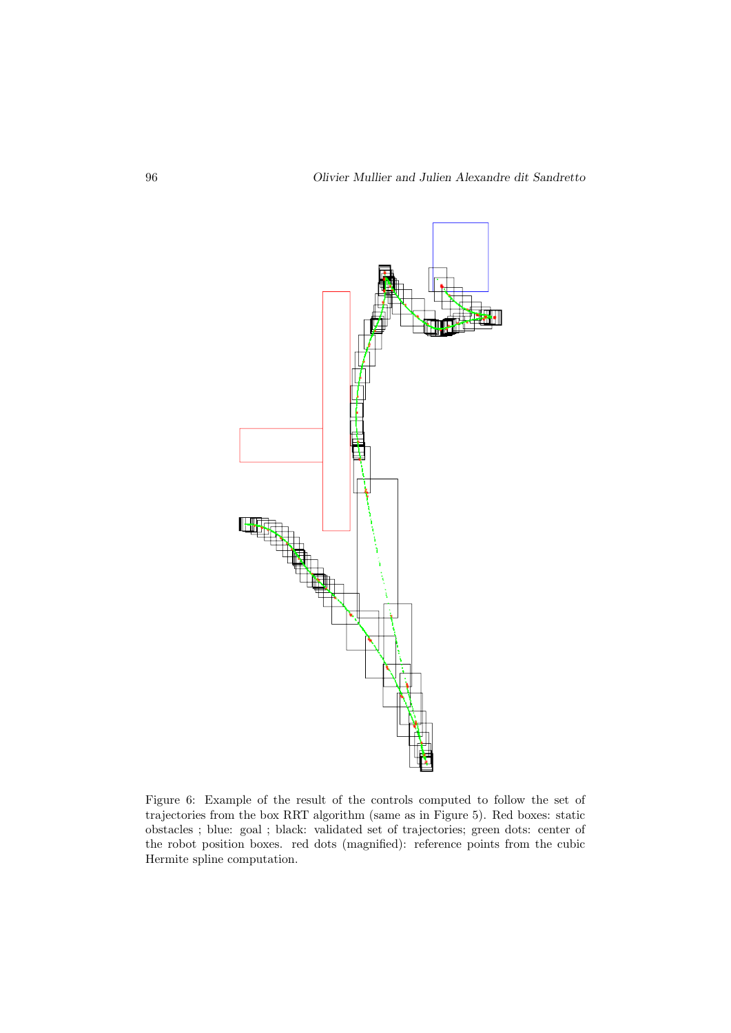

Figure 6: Example of the result of the controls computed to follow the set of trajectories from the box RRT algorithm (same as in Figure 5). Red boxes: static obstacles ; blue: goal ; black: validated set of trajectories; green dots: center of the robot position boxes. red dots (magnified): reference points from the cubic Hermite spline computation.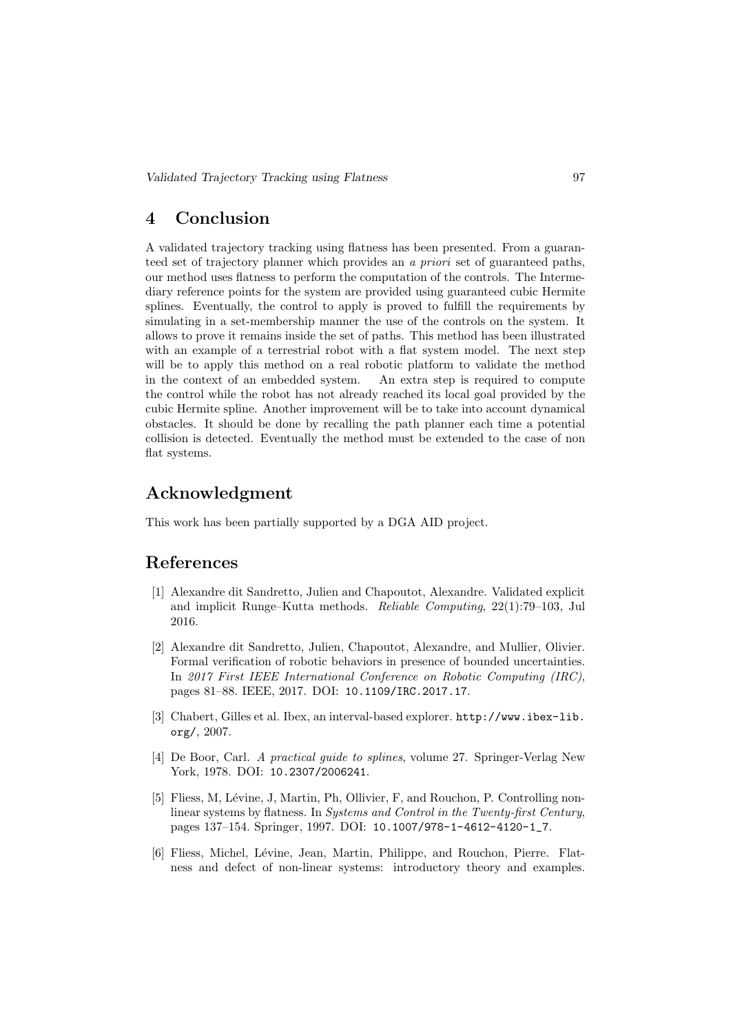### 4 Conclusion

A validated trajectory tracking using flatness has been presented. From a guaranteed set of trajectory planner which provides an a priori set of guaranteed paths, our method uses flatness to perform the computation of the controls. The Intermediary reference points for the system are provided using guaranteed cubic Hermite splines. Eventually, the control to apply is proved to fulfill the requirements by simulating in a set-membership manner the use of the controls on the system. It allows to prove it remains inside the set of paths. This method has been illustrated with an example of a terrestrial robot with a flat system model. The next step will be to apply this method on a real robotic platform to validate the method in the context of an embedded system. An extra step is required to compute the control while the robot has not already reached its local goal provided by the cubic Hermite spline. Another improvement will be to take into account dynamical obstacles. It should be done by recalling the path planner each time a potential collision is detected. Eventually the method must be extended to the case of non flat systems.

### Acknowledgment

This work has been partially supported by a DGA AID project.

## References

- [1] Alexandre dit Sandretto, Julien and Chapoutot, Alexandre. Validated explicit and implicit Runge–Kutta methods. Reliable Computing, 22(1):79–103, Jul 2016.
- [2] Alexandre dit Sandretto, Julien, Chapoutot, Alexandre, and Mullier, Olivier. Formal verification of robotic behaviors in presence of bounded uncertainties. In 2017 First IEEE International Conference on Robotic Computing (IRC), pages 81–88. IEEE, 2017. DOI: 10.1109/IRC.2017.17.
- [3] Chabert, Gilles et al. Ibex, an interval-based explorer. http://www.ibex-lib. org/, 2007.
- [4] De Boor, Carl. A practical guide to splines, volume 27. Springer-Verlag New York, 1978. DOI: 10.2307/2006241.
- [5] Fliess, M, Lévine, J, Martin, Ph, Ollivier, F, and Rouchon, P. Controlling nonlinear systems by flatness. In Systems and Control in the Twenty-first Century, pages 137–154. Springer, 1997. DOI: 10.1007/978-1-4612-4120-1\_7.
- [6] Fliess, Michel, Lévine, Jean, Martin, Philippe, and Rouchon, Pierre. Flatness and defect of non-linear systems: introductory theory and examples.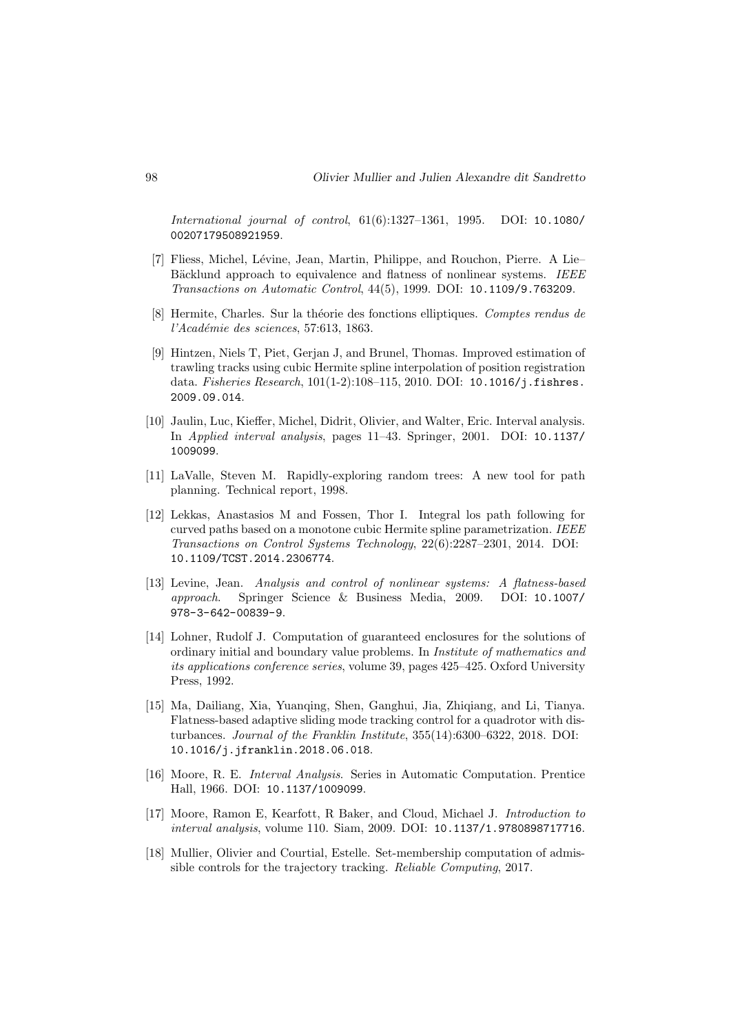International journal of control, 61(6):1327–1361, 1995. DOI: 10.1080/ 00207179508921959.

- [7] Fliess, Michel, Lévine, Jean, Martin, Philippe, and Rouchon, Pierre. A Lie– Bäcklund approach to equivalence and flatness of nonlinear systems. IEEE Transactions on Automatic Control, 44(5), 1999. DOI: 10.1109/9.763209.
- [8] Hermite, Charles. Sur la théorie des fonctions elliptiques. Comptes rendus de l'Académie des sciences, 57:613, 1863.
- [9] Hintzen, Niels T, Piet, Gerjan J, and Brunel, Thomas. Improved estimation of trawling tracks using cubic Hermite spline interpolation of position registration data. Fisheries Research, 101(1-2):108-115, 2010. DOI: 10.1016/j.fishres. 2009.09.014.
- [10] Jaulin, Luc, Kieffer, Michel, Didrit, Olivier, and Walter, Eric. Interval analysis. In Applied interval analysis, pages 11–43. Springer, 2001. DOI: 10.1137/ 1009099.
- [11] LaValle, Steven M. Rapidly-exploring random trees: A new tool for path planning. Technical report, 1998.
- [12] Lekkas, Anastasios M and Fossen, Thor I. Integral los path following for curved paths based on a monotone cubic Hermite spline parametrization. IEEE Transactions on Control Systems Technology, 22(6):2287–2301, 2014. DOI: 10.1109/TCST.2014.2306774.
- [13] Levine, Jean. Analysis and control of nonlinear systems: A flatness-based approach. Springer Science & Business Media, 2009. DOI: 10.1007/ 978-3-642-00839-9.
- [14] Lohner, Rudolf J. Computation of guaranteed enclosures for the solutions of ordinary initial and boundary value problems. In Institute of mathematics and its applications conference series, volume 39, pages 425–425. Oxford University Press, 1992.
- [15] Ma, Dailiang, Xia, Yuanqing, Shen, Ganghui, Jia, Zhiqiang, and Li, Tianya. Flatness-based adaptive sliding mode tracking control for a quadrotor with disturbances. Journal of the Franklin Institute, 355(14):6300–6322, 2018. DOI: 10.1016/j.jfranklin.2018.06.018.
- [16] Moore, R. E. Interval Analysis. Series in Automatic Computation. Prentice Hall, 1966. DOI: 10.1137/1009099.
- [17] Moore, Ramon E, Kearfott, R Baker, and Cloud, Michael J. Introduction to interval analysis, volume 110. Siam, 2009. DOI: 10.1137/1.9780898717716.
- [18] Mullier, Olivier and Courtial, Estelle. Set-membership computation of admissible controls for the trajectory tracking. Reliable Computing, 2017.